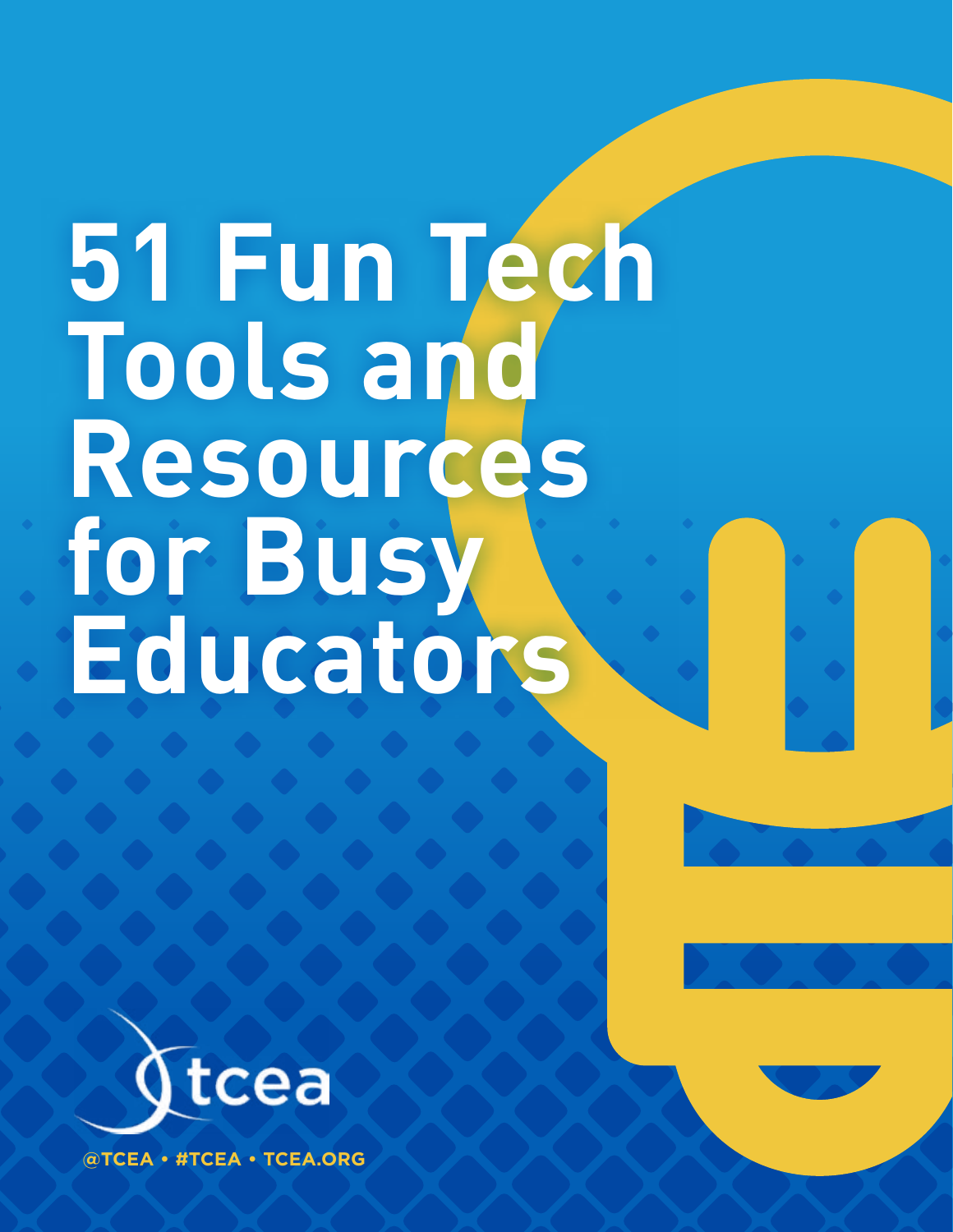# **51 Fun Tech Tools and Resources for Busy Educators**



**@TCEA • #TCEA • TCEA.ORG**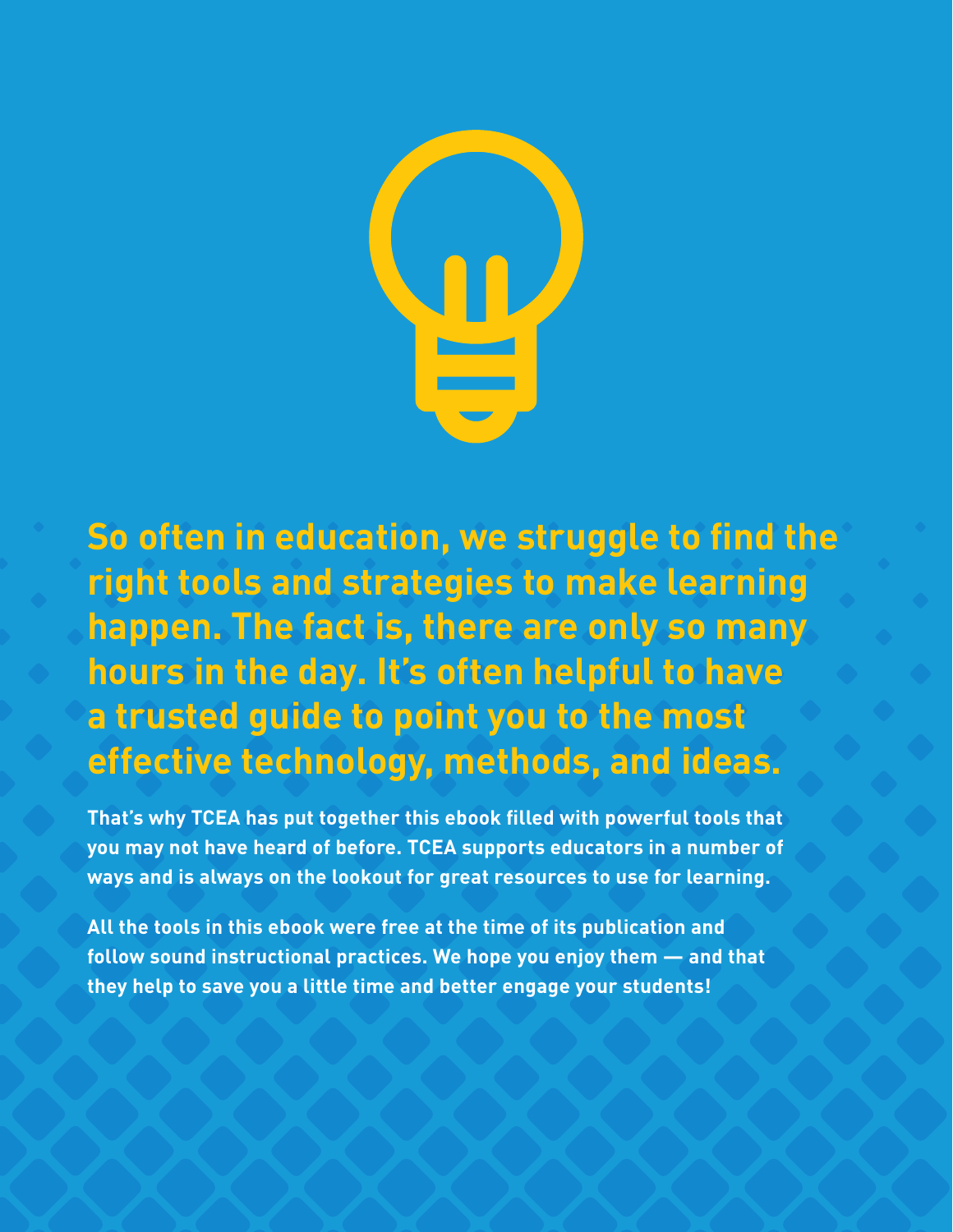

**So often in education, we struggle to find the right tools and strategies to make learning happen. The fact is, there are only so many hours in the day. It's often helpful to have a trusted guide to point you to the most effective technology, methods, and ideas.**

**That's why TCEA has put together this ebook filled with powerful tools that you may not have heard of before. TCEA supports educators in a number of ways and is always on the lookout for great resources to use for learning.**

**All the tools in this ebook were free at the time of its publication and follow sound instructional practices. We hope you enjoy them — and that they help to save you a little time and better engage your students!**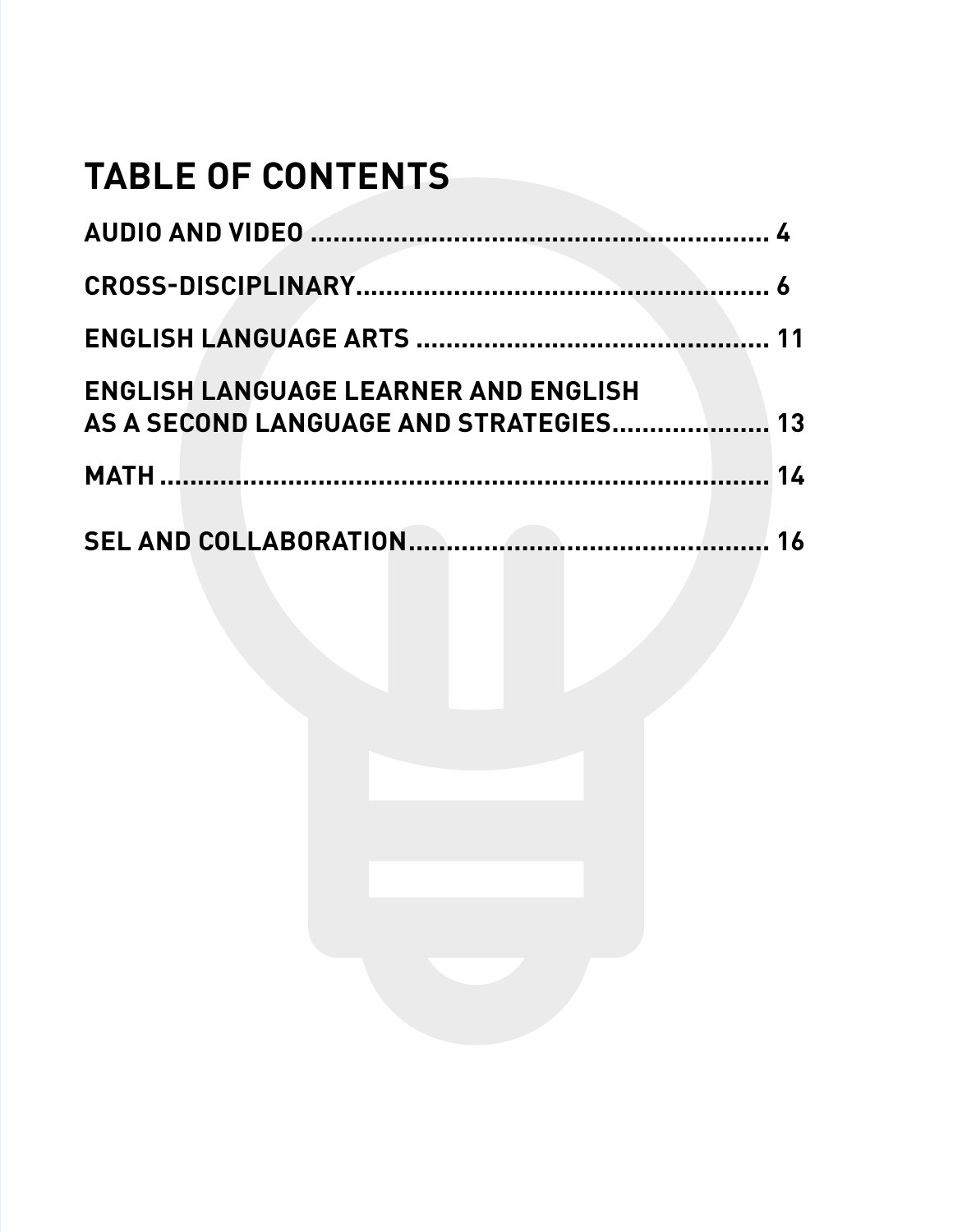# **TABLE OF CONTENTS**

| <b>ENGLISH LANGUAGE LEARNER AND ENGLISH</b><br>AS A SECOND LANGUAGE AND STRATEGIES 13 |    |
|---------------------------------------------------------------------------------------|----|
|                                                                                       |    |
|                                                                                       | 16 |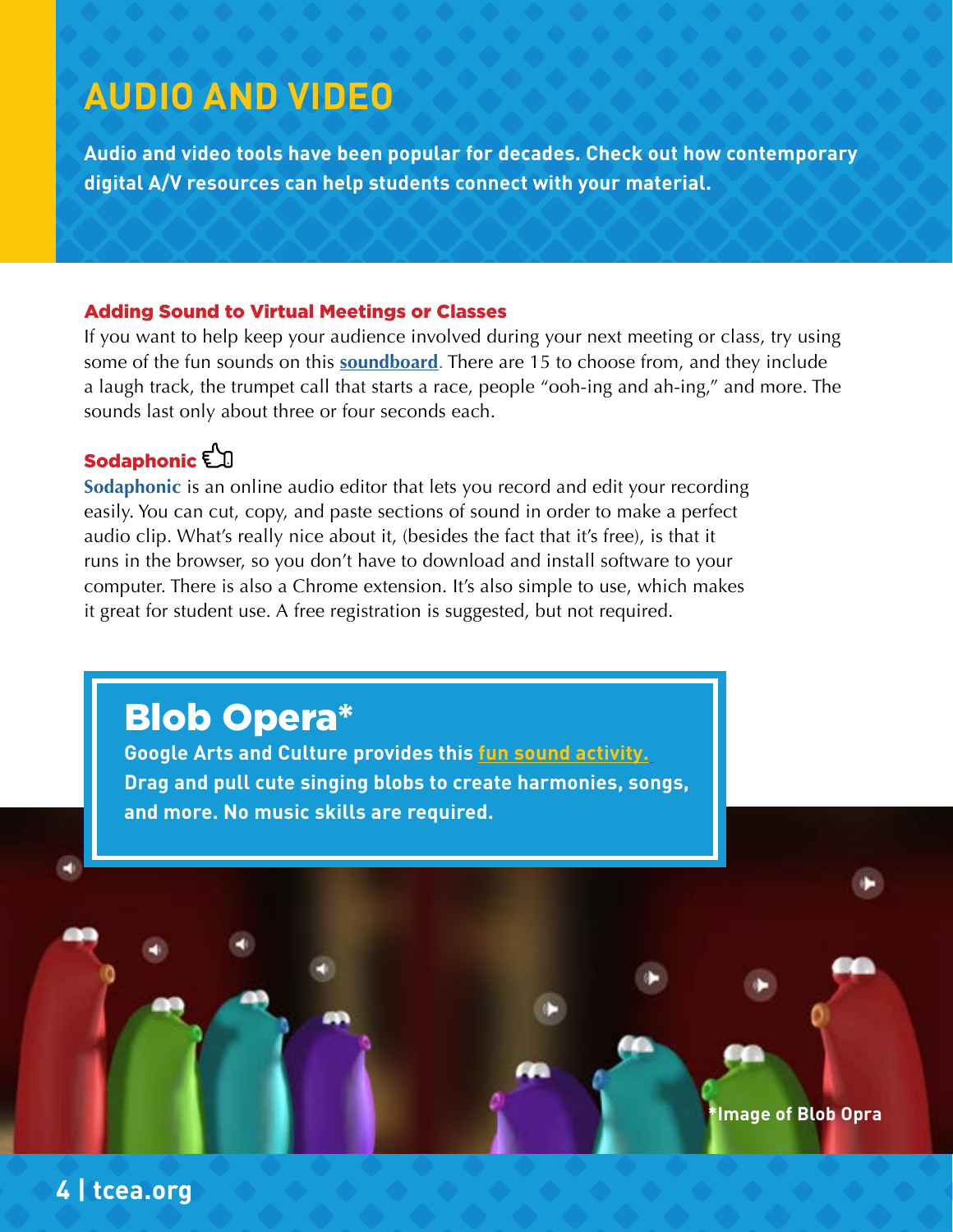## **AUDIO AND VIDEO**

**Audio and video tools have been popular for decades. Check out how contemporary digital A/V resources can help students connect with your material.**

#### Adding Sound to Virtual Meetings or Classes

If you want to help keep your audience involved during your next meeting or class, try using some of the fun sounds on this **[soundboard](https://www.classtools.net/soundboard/)**. There are 15 to choose from, and they include a laugh track, the trumpet call that starts a race, people "ooh-ing and ah-ing," and more. The sounds last only about three or four seconds each.

### Sodaphonic **Example**

**4 | tcea.org**

**Sodaphonic** is an online audio editor that lets you record and edit your recording easily. You can cut, copy, and paste sections of sound in order to make a perfect audio clip. What's really nice about it, (besides the fact that it's free), is that it runs in the browser, so you don't have to download and install software to your computer. There is also a Chrome extension. It's also simple to use, which makes it great for student use. A free registration is suggested, but not required.

## Blob Opera\*

**Google Arts and Culture provides this [fun sound activity.](https://artsandculture.google.com/experiment/AAHWrq360NcGbw) Drag and pull cute singing blobs to create harmonies, songs, and more. No music skills are required.**

**\*Image of Blob Opra**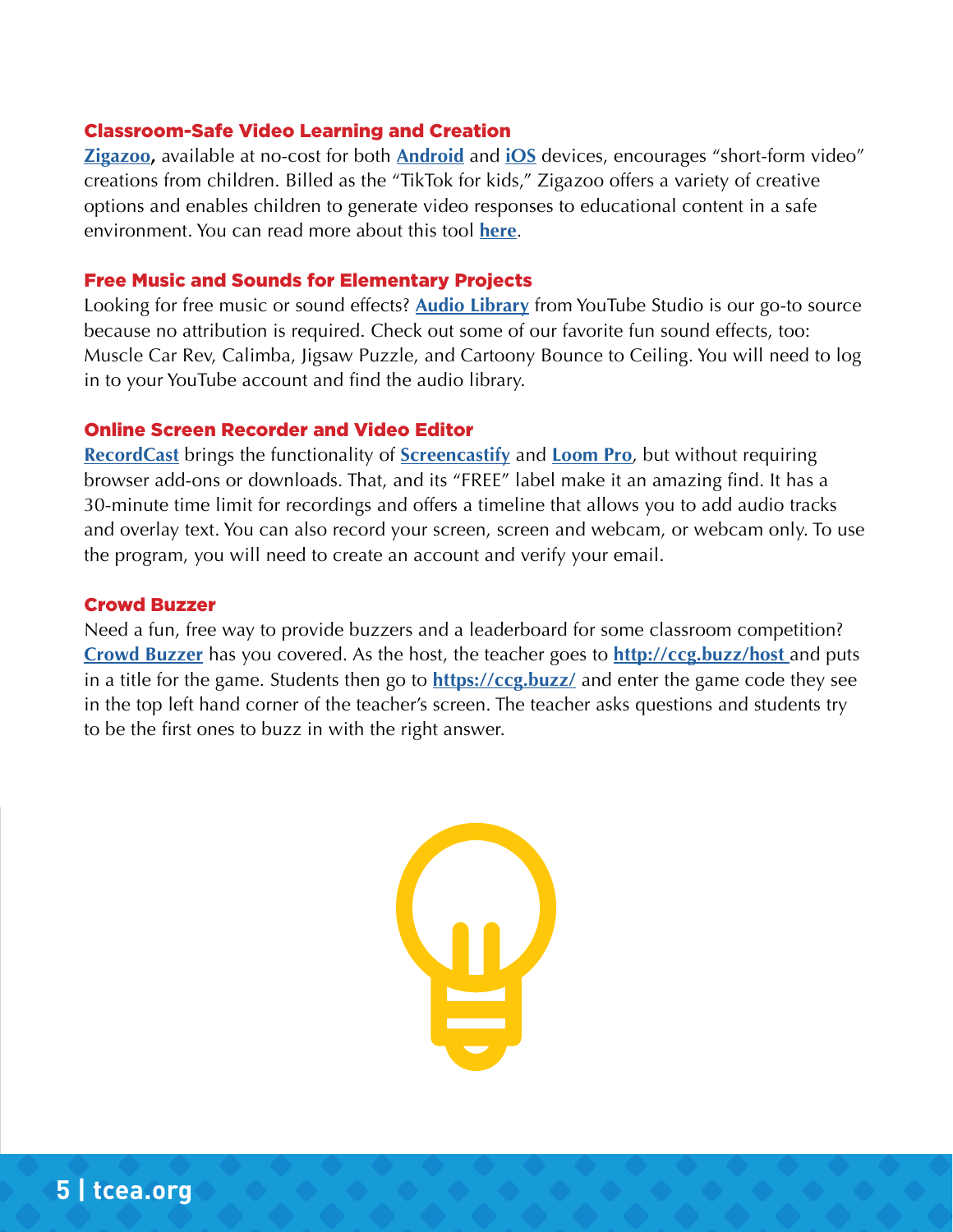#### Classroom-Safe Video Learning and Creation

**[Zigazoo,](https://www.zigazoo.com/)** available at no-cost for both **[Android](http://Android)** and **[iOS](http://iOS)** devices, encourages "short-form video" creations from children. Billed as the "TikTok for kids," Zigazoo offers a variety of creative options and enables children to generate video responses to educational content in a safe environment. You can read more about this tool **[here](https://blog.tcea.org/safe-video-learning-and-creation-with-zigazoo-classroom/)**.

#### Free Music and Sounds for Elementary Projects

Looking for free music or sound effects? **[Audio Library](https://www.youtube.com/channel/UCht8qITGkBvXKsR1Byln-wA)** from YouTube Studio is our go-to source because no attribution is required. Check out some of our favorite fun sound effects, too: Muscle Car Rev, Calimba, Jigsaw Puzzle, and Cartoony Bounce to Ceiling. You will need to log in to your YouTube account and find the audio library.

#### Online Screen Recorder and Video Editor

**[RecordCast](https://www.recordcast.com/)** brings the functionality of **[Screencastify](https://blog.tcea.org/?s=screencastify)** and **[Loom Pro](https://blog.tcea.org/?s=Loom+Pro)**, but without requiring browser add-ons or downloads. That, and its "FREE" label make it an amazing find. It has a 30-minute time limit for recordings and offers a timeline that allows you to add audio tracks and overlay text. You can also record your screen, screen and webcam, or webcam only. To use the program, you will need to create an account and verify your email.

#### Crowd Buzzer

Need a fun, free way to provide buzzers and a leaderboard for some classroom competition? **[Crowd Buzzer](https://crowdcontrolgames.com/pages/crowd-buzzer)** has you covered. As the host, the teacher goes to **[http://ccg.buzz/host](http://ccg.buzz/host )** and puts in a title for the game. Students then go to **<https://ccg.buzz/>** and enter the game code they see in the top left hand corner of the teacher's screen. The teacher asks questions and students try to be the first ones to buzz in with the right answer.

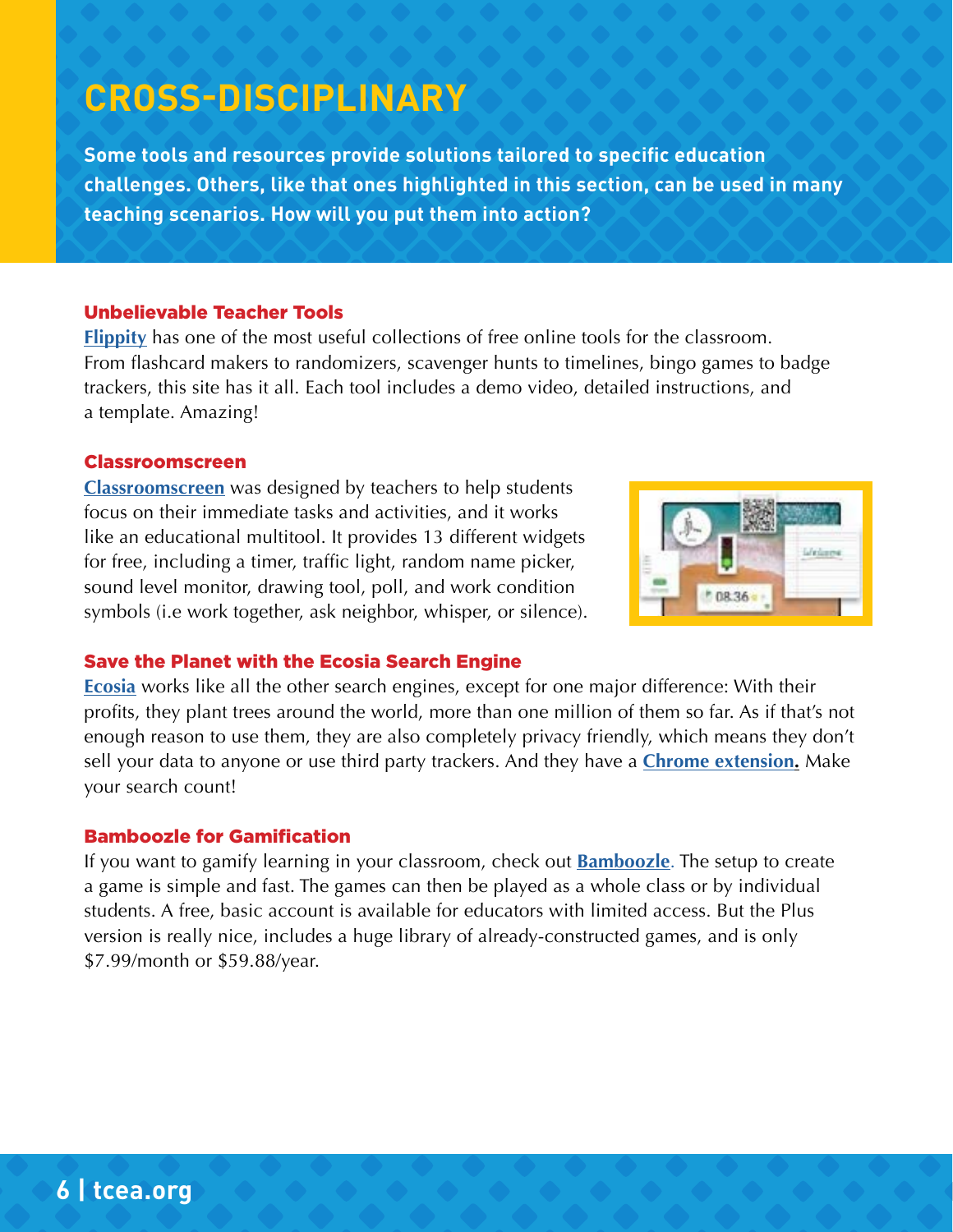## **CROSS-DISCIPLINARY**

**Some tools and resources provide solutions tailored to specific education challenges. Others, like that ones highlighted in this section, can be used in many teaching scenarios. How will you put them into action?**

#### Unbelievable Teacher Tools

**[Flippity](https://www.flippity.net/)** has one of the most useful collections of free online tools for the classroom. From flashcard makers to randomizers, scavenger hunts to timelines, bingo games to badge trackers, this site has it all. Each tool includes a demo video, detailed instructions, and a template. Amazing!

#### Classroomscreen

**[Classroomscreen](https://classroomscreen.com/)** was designed by teachers to help students focus on their immediate tasks and activities, and it works like an educational multitool. It provides 13 different widgets for free, including a timer, traffic light, random name picker, sound level monitor, drawing tool, poll, and work condition symbols (i.e work together, ask neighbor, whisper, or silence).



#### Save the Planet with the Ecosia Search Engine

**[Ecosia](https://www.ecosia.org/?c=en)** works like all the other search engines, except for one major difference: With their profits, they plant trees around the world, more than one million of them so far. As if that's not enough reason to use them, they are also completely privacy friendly, which means they don't sell your data to anyone or use third party trackers. And they have a **[Chrome extension.](https://chrome.google.com/webstore/detail/ecosia-the-search-engine/eedlgdlajadkbbjoobobefphmfkcchfk)** Make your search count!

#### Bamboozle for Gamification

If you want to gamify learning in your classroom, check out **[Bamboozle](https://www.baamboozle.com/)**. The setup to create a game is simple and fast. The games can then be played as a whole class or by individual students. A free, basic account is available for educators with limited access. But the Plus version is really nice, includes a huge library of already-constructed games, and is only \$7.99/month or \$59.88/year.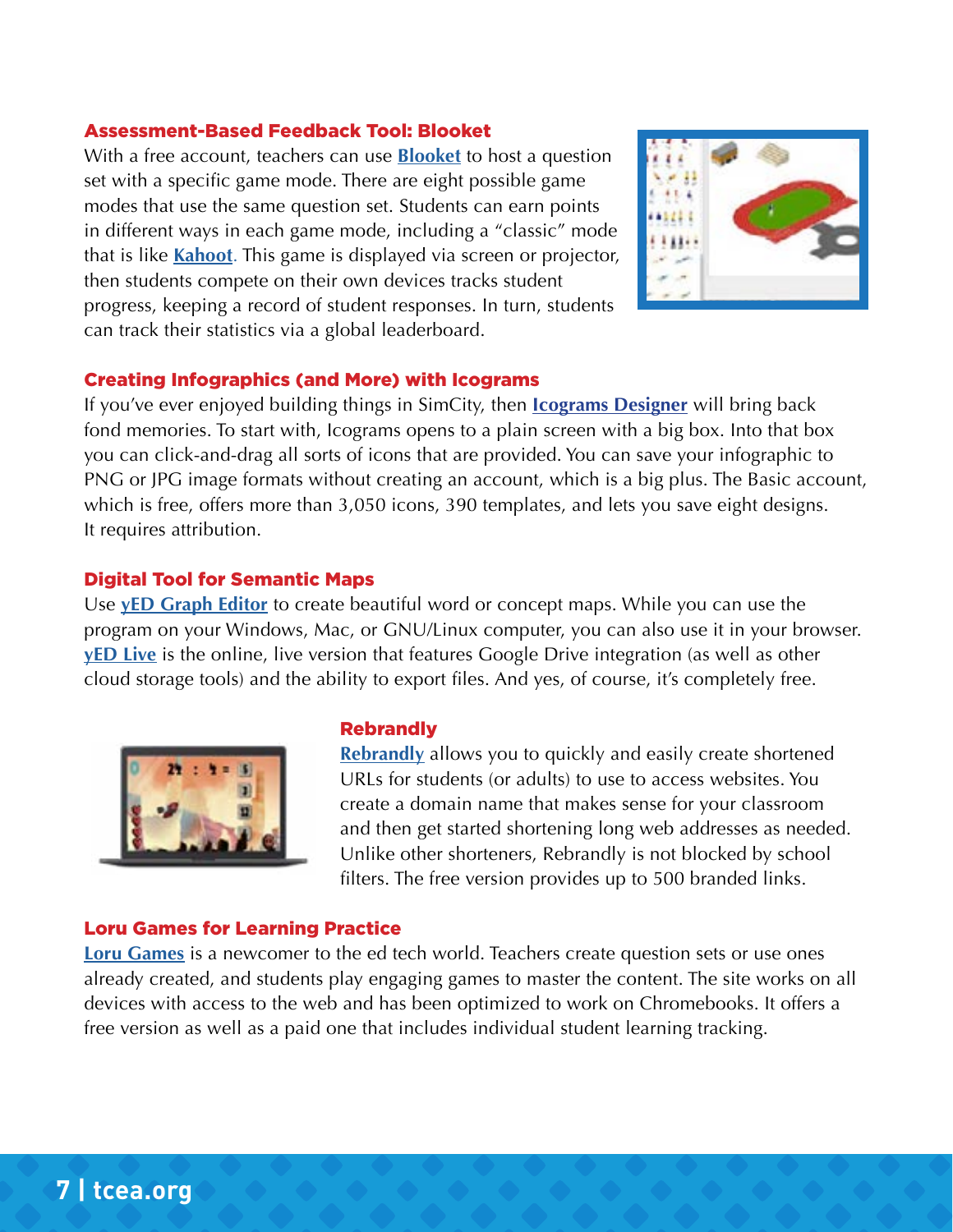#### Assessment-Based Feedback Tool: Blooket

With a free account, teachers can use **[Blooket](https://www.blooket.com/)** to host a question set with a specific game mode. There are eight possible game modes that use the same question set. Students can earn points in different ways in each game mode, including a "classic" mode that is like **[Kahoot](https://blog.tcea.org/?s=kahoot)**. This game is displayed via screen or projector, then students compete on their own devices tracks student progress, keeping a record of student responses. In turn, students can track their statistics via a global leaderboard.



#### Creating Infographics (and More) with Icograms

If you've ever enjoyed building things in SimCity, then **[Icograms Designer](https://icograms.com/icograms-designer.php)** will bring back fond memories. To start with, Icograms opens to a plain screen with a big box. Into that box you can click-and-drag all sorts of icons that are provided. You can save your infographic to PNG or JPG image formats without creating an account, which is a big plus. The Basic account, which is free, offers more than 3,050 icons, 390 templates, and lets you save eight designs. It requires attribution.

#### Digital Tool for Semantic Maps

Use **[yED Graph Editor](https://www.yworks.com/)** to create beautiful word or concept maps. While you can use the program on your Windows, Mac, or GNU/Linux computer, you can also use it in your browser. **[yED Live](https://www.yworks.com/products/yed-live)** is the online, live version that features Google Drive integration (as well as other cloud storage tools) and the ability to export files. And yes, of course, it's completely free.



#### **Rebrandly**

**[Rebrandly](https://www.rebrandly.com/)** allows you to quickly and easily create shortened URLs for students (or adults) to use to access websites. You create a domain name that makes sense for your classroom and then get started shortening long web addresses as needed. Unlike other shorteners, Rebrandly is not blocked by school filters. The free version provides up to 500 branded links.

#### Loru Games for Learning Practice

**[Loru Games](https://lorugames.com/about)** is a newcomer to the ed tech world. Teachers create question sets or use ones already created, and students play engaging games to master the content. The site works on all devices with access to the web and has been optimized to work on Chromebooks. It offers a free version as well as a paid one that includes individual student learning tracking.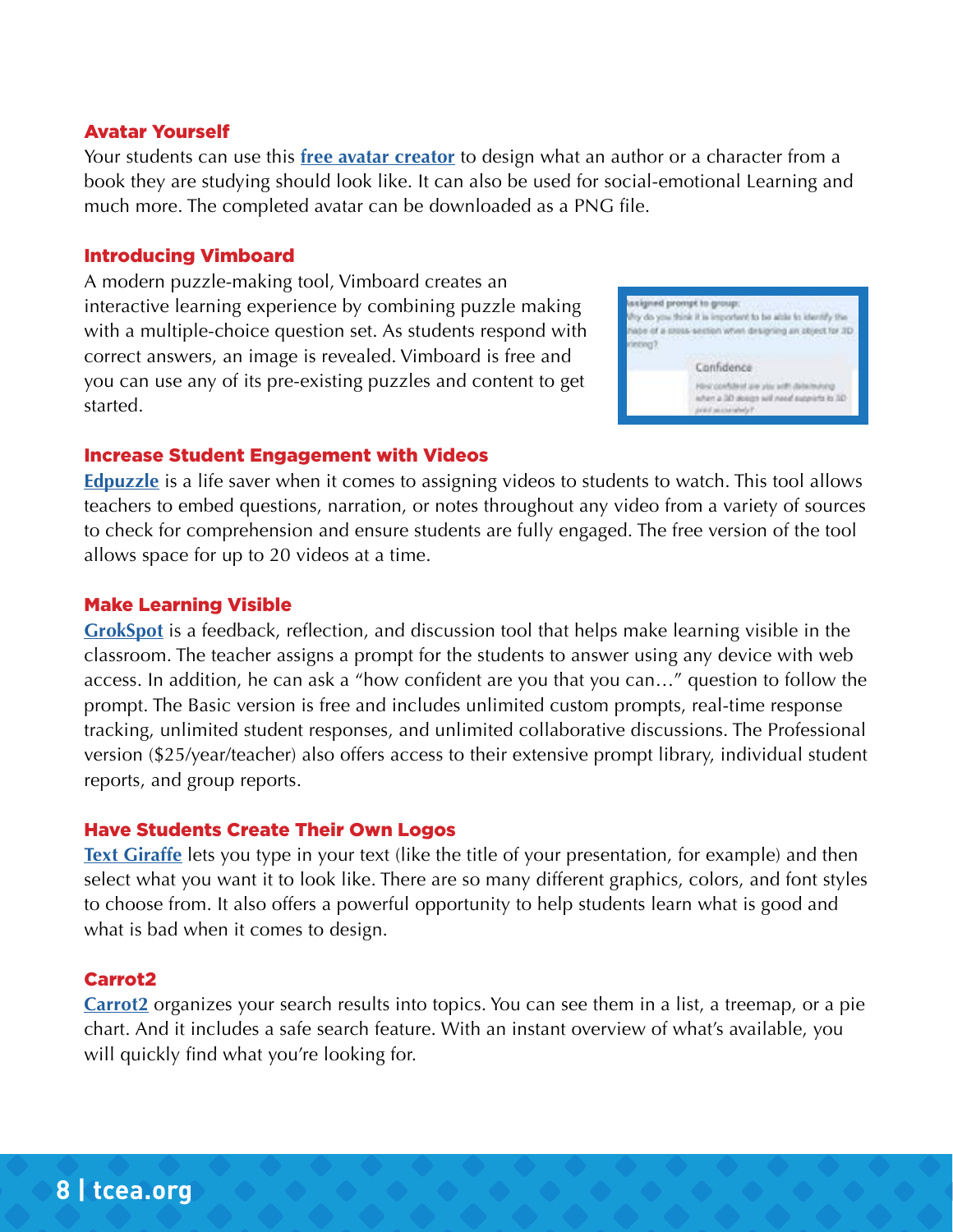#### Avatar Yourself

Your students can use this **[free avatar creator](https://avatarmaker.com/)** to design what an author or a character from a book they are studying should look like. It can also be used for social-emotional Learning and much more. The completed avatar can be downloaded as a PNG file.

#### Introducing Vimboard

A modern puzzle-making tool, Vimboard creates an interactive learning experience by combining puzzle making with a multiple-choice question set. As students respond with correct answers, an image is revealed. Vimboard is free and you can use any of its pre-existing puzzles and content to get started.



#### Increase Student Engagement with Videos

**[Edpuzzle](https://edpuzzle.com/)** is a life saver when it comes to assigning videos to students to watch. This tool allows teachers to embed questions, narration, or notes throughout any video from a variety of sources to check for comprehension and ensure students are fully engaged. The free version of the tool allows space for up to 20 videos at a time.

#### Make Learning Visible

**[GrokSpot](https://www.grokspot.org/)** is a feedback, reflection, and discussion tool that helps make learning visible in the classroom. The teacher assigns a prompt for the students to answer using any device with web access. In addition, he can ask a "how confident are you that you can…" question to follow the prompt. The Basic version is free and includes unlimited custom prompts, real-time response tracking, unlimited student responses, and unlimited collaborative discussions. The Professional version (\$25/year/teacher) also offers access to their extensive prompt library, individual student reports, and group reports.

#### Have Students Create Their Own Logos

**[Text Giraffe](http://textgiraffe.com/)** lets you type in your text (like the title of your presentation, for example) and then select what you want it to look like. There are so many different graphics, colors, and font styles to choose from. It also offers a powerful opportunity to help students learn what is good and what is bad when it comes to design.

#### Carrot2

**[Carrot2](https://search.carrot2.org/#/search/web)** organizes your search results into topics. You can see them in a list, a treemap, or a pie chart. And it includes a safe search feature. With an instant overview of what's available, you will quickly find what you're looking for.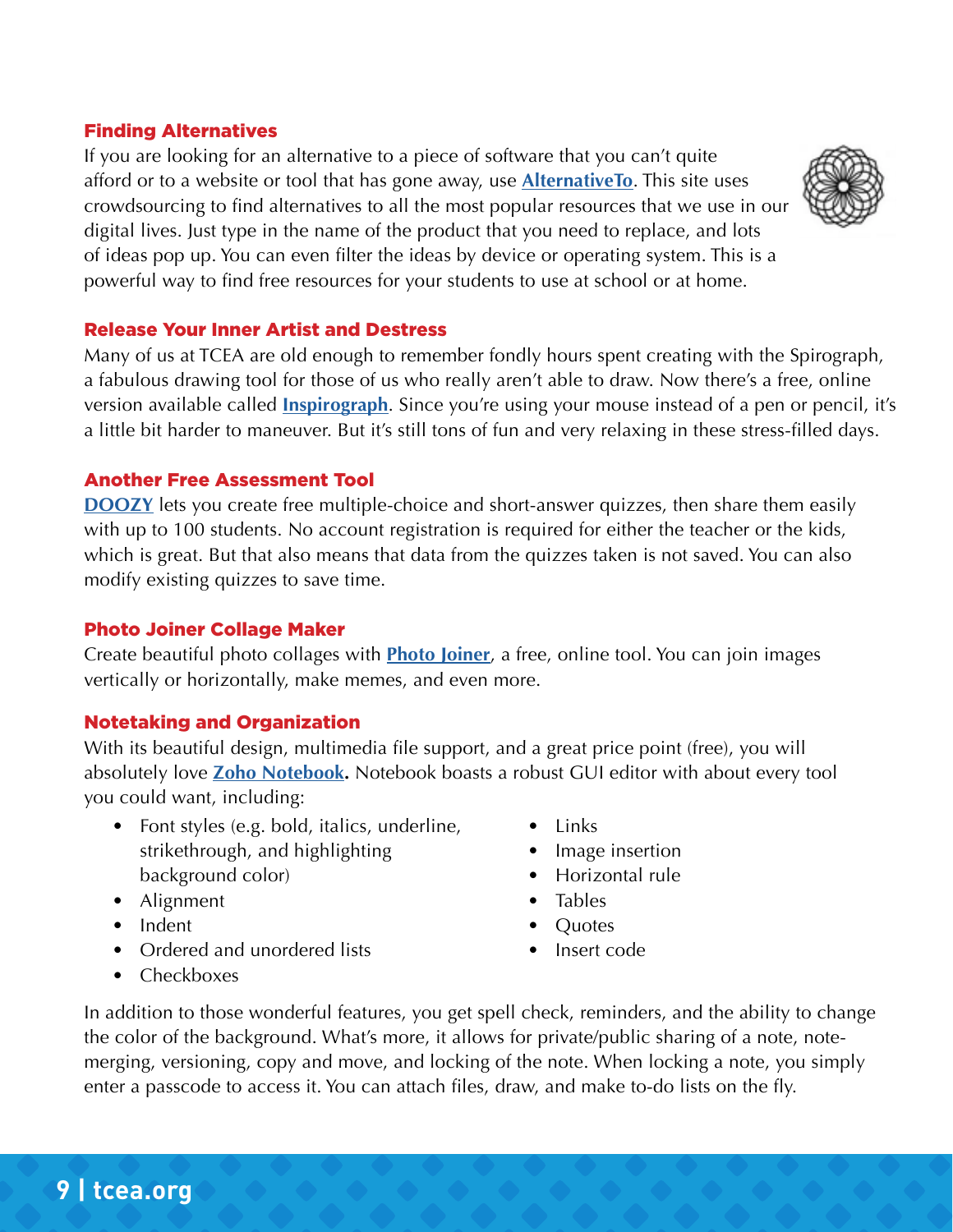#### Finding Alternatives

If you are looking for an alternative to a piece of software that you can't quite afford or to a website or tool that has gone away, use **[AlternativeTo](https://alternativeto.net/)**. This site uses crowdsourcing to find alternatives to all the most popular resources that we use in our digital lives. Just type in the name of the product that you need to replace, and lots of ideas pop up. You can even filter the ideas by device or operating system. This is a powerful way to find free resources for your students to use at school or at home.



#### Release Your Inner Artist and Destress

Many of us at TCEA are old enough to remember fondly hours spent creating with the Spirograph, a fabulous drawing tool for those of us who really aren't able to draw. Now there's a free, online version available called **[Inspirograph](https://nathanfriend.io/inspirograph/)**. Since you're using your mouse instead of a pen or pencil, it's a little bit harder to maneuver. But it's still tons of fun and very relaxing in these stress-filled days.

#### Another Free Assessment Tool

**[DOOZY](https://doozy.live/)** lets you create free multiple-choice and short-answer quizzes, then share them easily with up to 100 students. No account registration is required for either the teacher or the kids, which is great. But that also means that data from the quizzes taken is not saved. You can also modify existing quizzes to save time.

#### Photo Joiner Collage Maker

Create beautiful photo collages with **[Photo Joiner](https://www.photojoiner.net/collage-maker/editor)**, a free, online tool. You can join images vertically or horizontally, make memes, and even more.

#### Notetaking and Organization

With its beautiful design, multimedia file support, and a great price point (free), you will absolutely love **[Zoho Notebook](https://www.zoho.com/notebook/).** Notebook boasts a robust GUI editor with about every tool you could want, including:

- Font styles (e.g. bold, italics, underline, strikethrough, and highlighting background color)
- Alignment
- Indent
- Ordered and unordered lists
- Checkboxes
- Links
- Image insertion
- Horizontal rule
- Tables
- Quotes
- Insert code

In addition to those wonderful features, you get spell check, reminders, and the ability to change the color of the background. What's more, it allows for private/public sharing of a note, notemerging, versioning, copy and move, and locking of the note. When locking a note, you simply enter a passcode to access it. You can attach files, draw, and make to-do lists on the fly.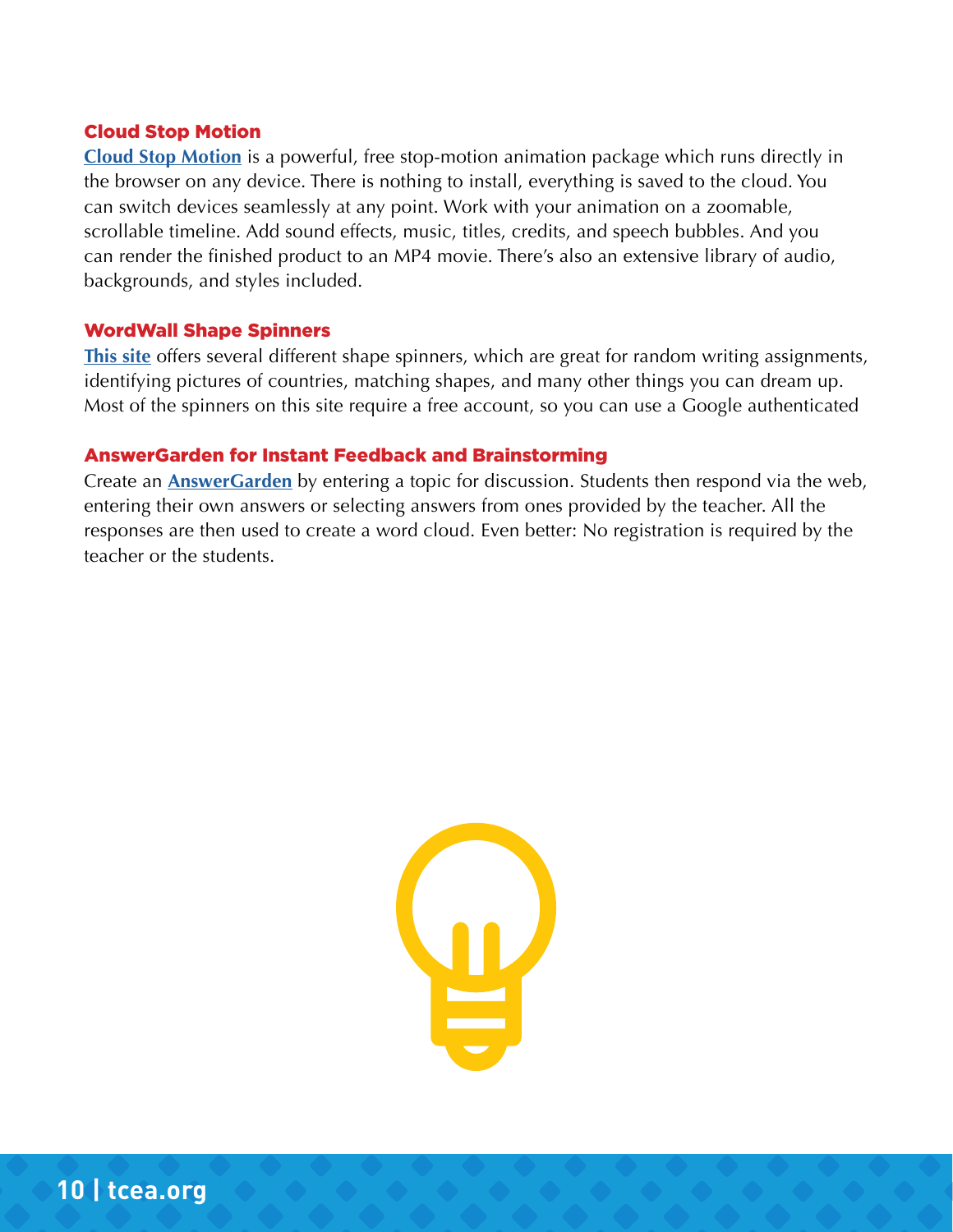#### Cloud Stop Motion

**[Cloud Stop Motion](https://cloudstopmotion.com/)** is a powerful, free stop-motion animation package which runs directly in the browser on any device. There is nothing to install, everything is saved to the cloud. You can switch devices seamlessly at any point. Work with your animation on a zoomable, scrollable timeline. Add sound effects, music, titles, credits, and speech bubbles. And you can render the finished product to an MP4 movie. There's also an extensive library of audio, backgrounds, and styles included.

#### WordWall Shape Spinners

**[This site](https://wordwall.net/en-gb/community/shapes-spin-the-wheel)** offers several different shape spinners, which are great for random writing assignments, identifying pictures of countries, matching shapes, and many other things you can dream up. Most of the spinners on this site require a free account, so you can use a Google authenticated

#### AnswerGarden for Instant Feedback and Brainstorming

Create an **[AnswerGarden](https://answergarden.ch/)** by entering a topic for discussion. Students then respond via the web, entering their own answers or selecting answers from ones provided by the teacher. All the responses are then used to create a word cloud. Even better: No registration is required by the teacher or the students.

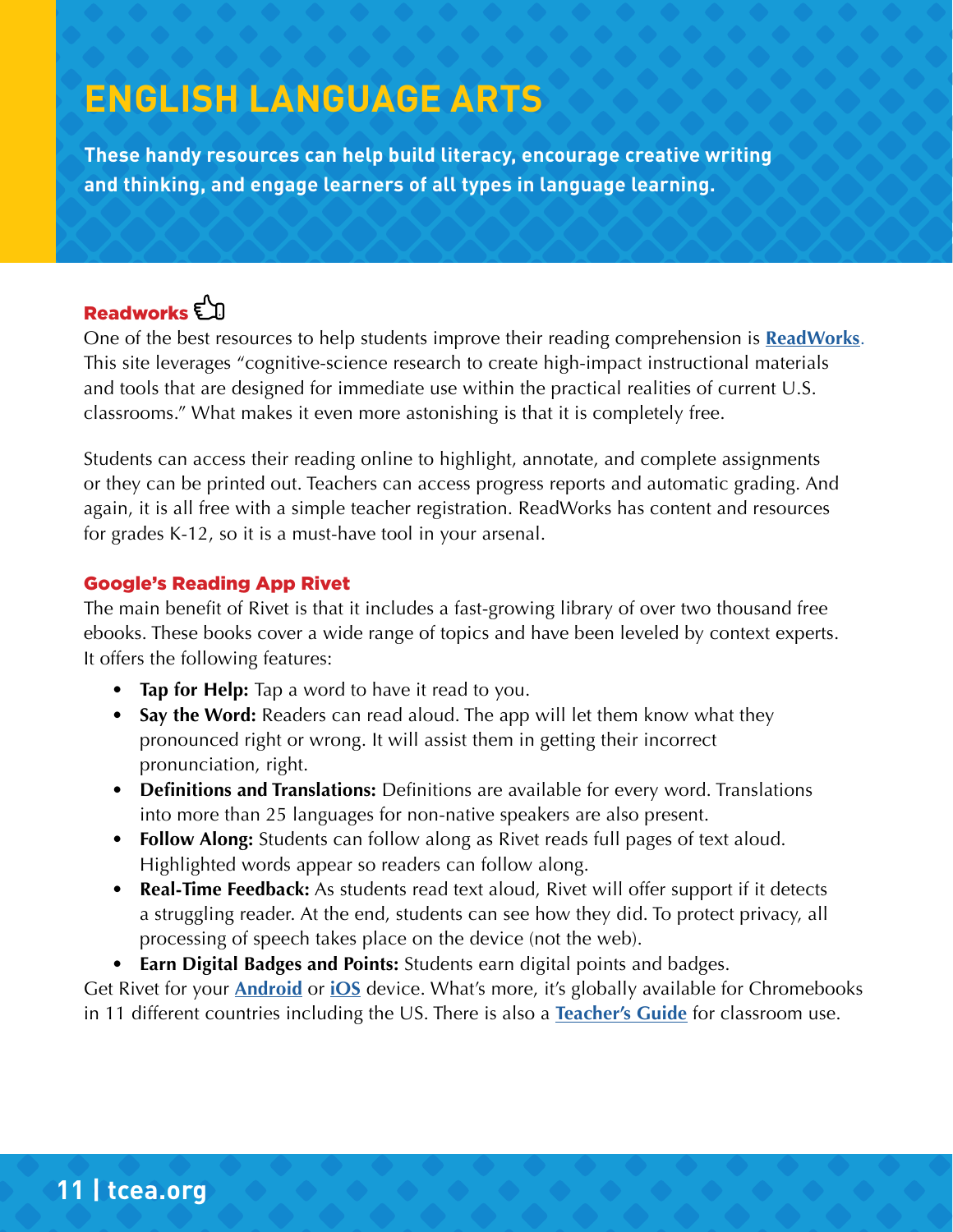## **ENGLISH LANGUAGE ARTS**

**These handy resources can help build literacy, encourage creative writing and thinking, and engage learners of all types in language learning.**

## Readworks<sup>En</sup>

One of the best resources to help students improve their reading comprehension is **[ReadWorks](https://www.readworks.org/)**. This site leverages "cognitive-science research to create high-impact instructional materials and tools that are designed for immediate use within the practical realities of current U.S. classrooms." What makes it even more astonishing is that it is completely free.

Students can access their reading online to highlight, annotate, and complete assignments or they can be printed out. Teachers can access progress reports and automatic grading. And again, it is all free with a simple teacher registration. ReadWorks has content and resources for grades K-12, so it is a must-have tool in your arsenal.

#### Google's Reading App Rivet

The main benefit of Rivet is that it includes a fast-growing library of over two thousand free ebooks. These books cover a wide range of topics and have been leveled by context experts. It offers the following features:

- **• Tap for Help:** Tap a word to have it read to you.
- **• Say the Word:** Readers can read aloud. The app will let them know what they pronounced right or wrong. It will assist them in getting their incorrect pronunciation, right.
- **• Definitions and Translations:** Definitions are available for every word. Translations into more than 25 languages for non-native speakers are also present.
- **• Follow Along:** Students can follow along as Rivet reads full pages of text aloud. Highlighted words appear so readers can follow along.
- **• Real-Time Feedback:** As students read text aloud, Rivet will offer support if it detects a struggling reader. At the end, students can see how they did. To protect privacy, all processing of speech takes place on the device (not the web).
- **• Earn Digital Badges and Points:** Students earn digital points and badges.

Get Rivet for your **[Android](https://play.google.com/store)** or **[iOS](https://apps.apple.com/us/app/rivet-by-area-120/id1405632917)** device. What's more, it's globally available for Chromebooks in 11 different countries including the US. There is also a **[Teacher's Guide](https://rivet.page.link/educator-guide)** for classroom use.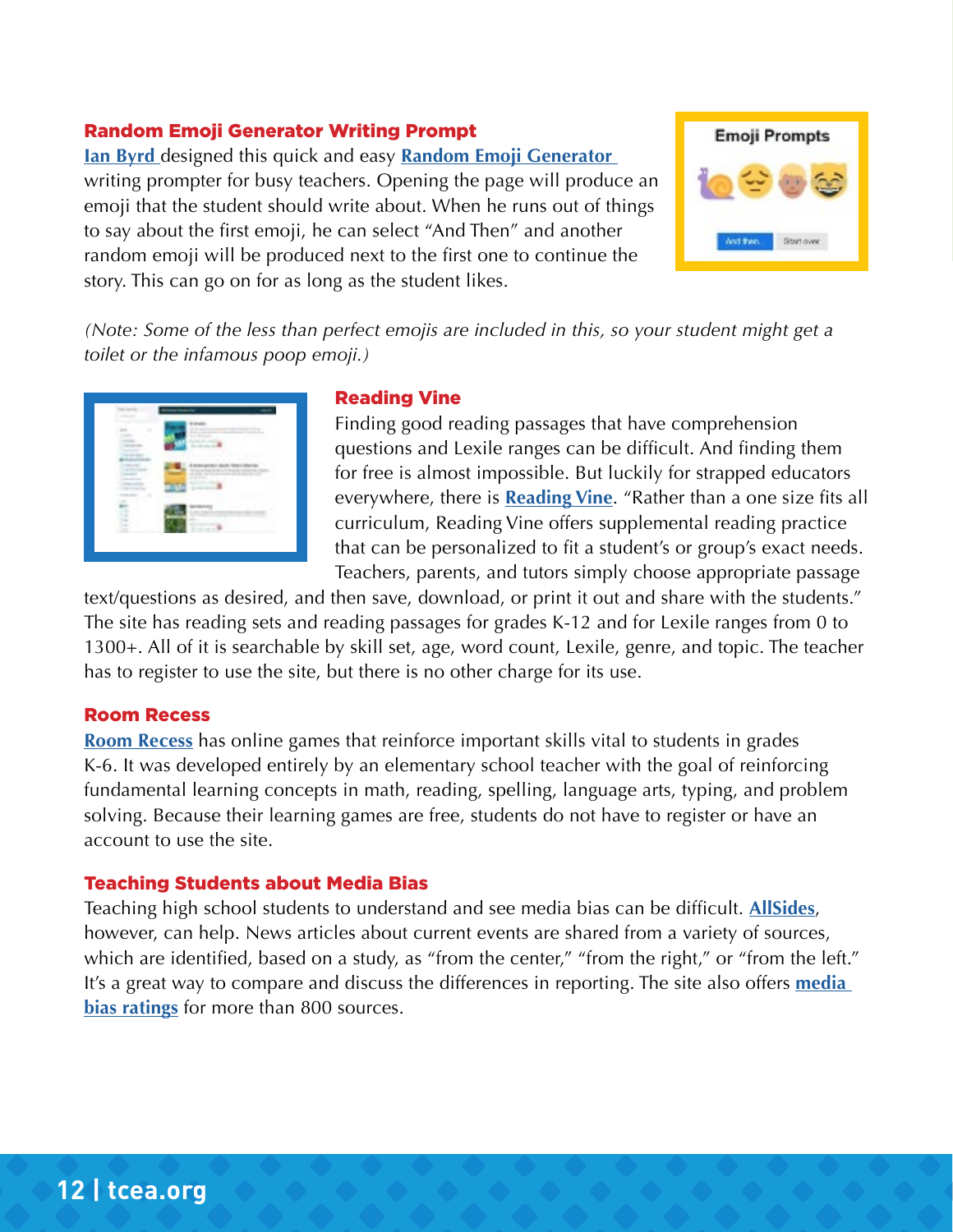#### Random Emoji Generator Writing Prompt

**[Ian Byrd](https://twitter.com/IanAByrd)** designed this quick and easy **[Random Emoji Generator](https://www.byrdseed.com/emoji2/)**  writing prompter for busy teachers. Opening the page will produce an emoji that the student should write about. When he runs out of things to say about the first emoji, he can select "And Then" and another random emoji will be produced next to the first one to continue the story. This can go on for as long as the student likes.



*(Note: Some of the less than perfect emojis are included in this, so your student might get a toilet or the infamous poop emoji.)*



#### Reading Vine

Finding good reading passages that have comprehension questions and Lexile ranges can be difficult. And finding them for free is almost impossible. But luckily for strapped educators everywhere, there is **[Reading Vine](https://www.readingvine.com/)**. "Rather than a one size fits all curriculum, Reading Vine offers supplemental reading practice that can be personalized to fit a student's or group's exact needs. Teachers, parents, and tutors simply choose appropriate passage

text/questions as desired, and then save, download, or print it out and share with the students." The site has reading sets and reading passages for grades K-12 and for Lexile ranges from 0 to 1300+. All of it is searchable by skill set, age, word count, Lexile, genre, and topic. The teacher has to register to use the site, but there is no other charge for its use.

#### Room Recess

**[Room Recess](https://www.roomrecess.com/)** has online games that reinforce important skills vital to students in grades K-6. It was developed entirely by an elementary school teacher with the goal of reinforcing fundamental learning concepts in math, reading, spelling, language arts, typing, and problem solving. Because their learning games are free, students do not have to register or have an account to use the site.

#### Teaching Students about Media Bias

Teaching high school students to understand and see media bias can be difficult. **[AllSides](https://www.allsides.com/unbiased-balanced-news)**, however, can help. News articles about current events are shared from a variety of sources, which are identified, based on a study, as "from the center," "from the right," or "from the left." It's a great way to compare and discuss the differences in reporting. The site also offers **[media](https://www.allsides.com/media-bias/media-bias-ratings)  [bias ratings](https://www.allsides.com/media-bias/media-bias-ratings)** for more than 800 sources.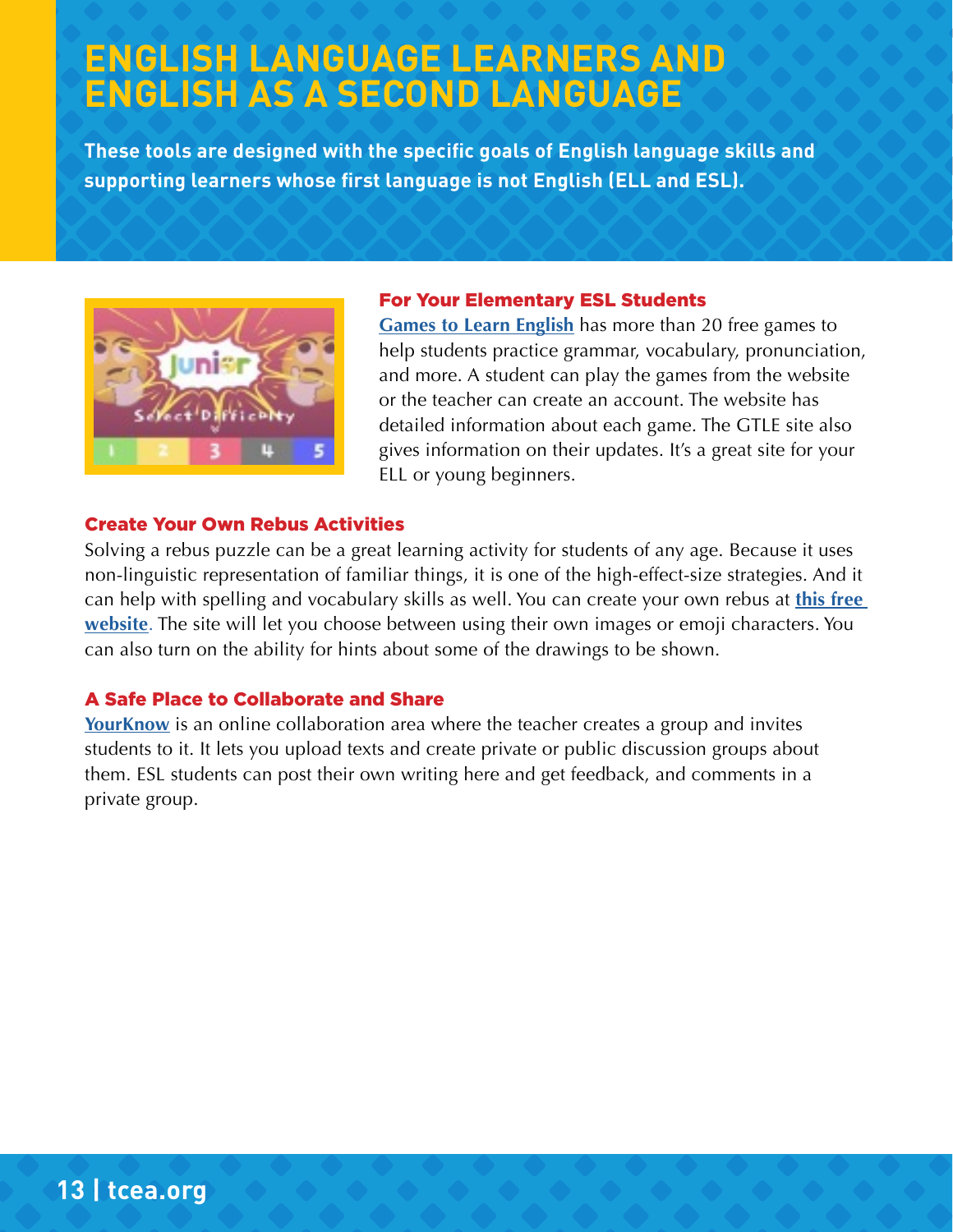## **ENGLISH LANGUAGE LEARNERS AND ENGLISH AS A SECOND LANGUAGE**

**These tools are designed with the specific goals of English language skills and supporting learners whose first language is not English (ELL and ESL).**



#### For Your Elementary ESL Students

**[Games to Learn English](https://www.gamestolearnenglish.com/)** has more than 20 free games to help students practice grammar, vocabulary, pronunciation, and more. A student can play the games from the website or the teacher can create an account. The website has detailed information about each game. The GTLE site also gives information on their updates. It's a great site for your ELL or young beginners.

#### Create Your Own Rebus Activities

Solving a rebus puzzle can be a great learning activity for students of any age. Because it uses non-linguistic representation of familiar things, it is one of the high-effect-size strategies. And it can help with spelling and vocabulary skills as well. You can create your own rebus at **[this free](https://www.festisite.com/rebus/)  [website](https://www.festisite.com/rebus/)**. The site will let you choose between using their own images or emoji characters. You can also turn on the ability for hints about some of the drawings to be shown.

#### A Safe Place to Collaborate and Share

**[YourKnow](https://yourknow.com/front/Home)** is an online collaboration area where the teacher creates a group and invites students to it. It lets you upload texts and create private or public discussion groups about them. ESL students can post their own writing here and get feedback, and comments in a private group.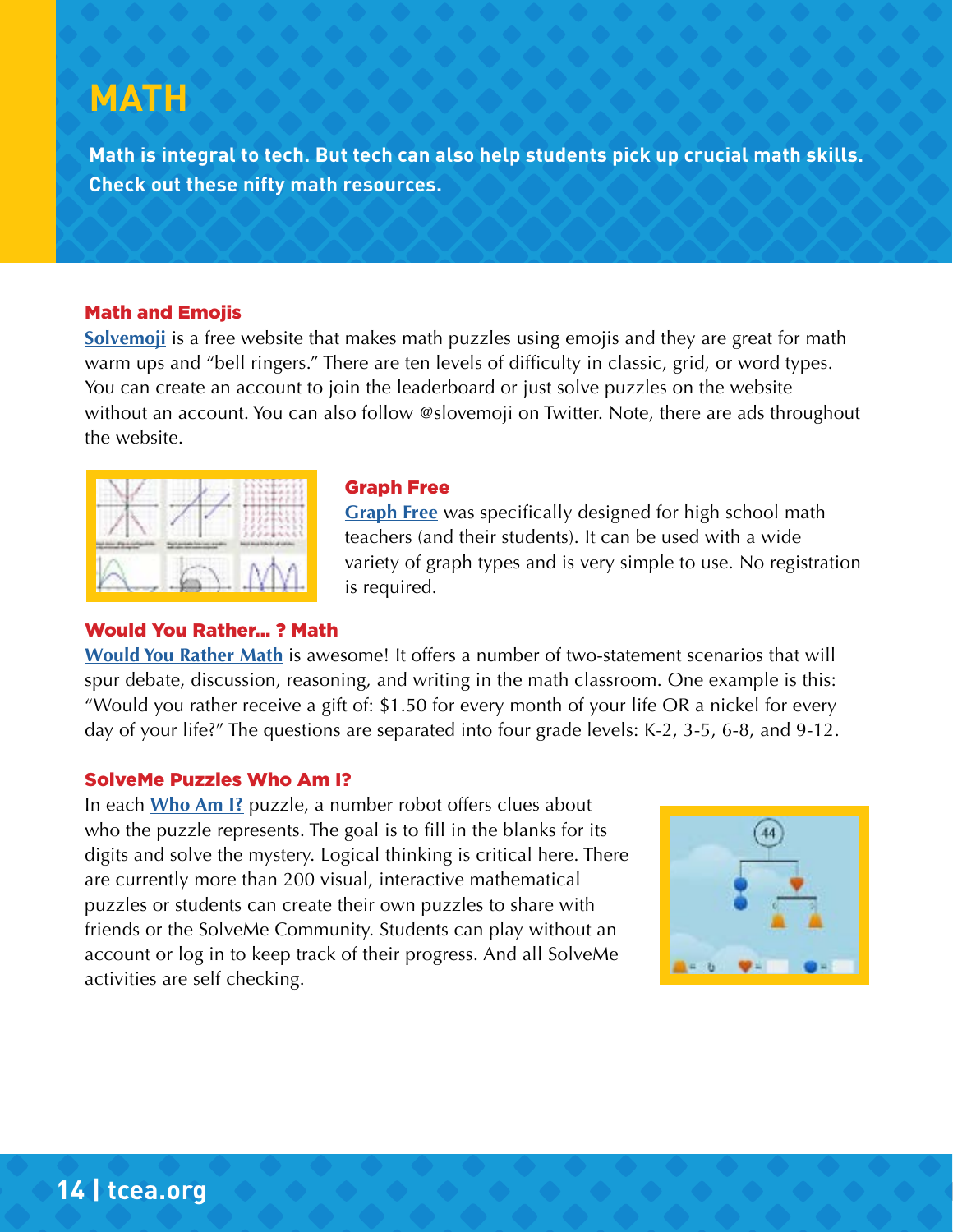## **MATH**

**Math is integral to tech. But tech can also help students pick up crucial math skills. Check out these nifty math resources.**

#### Math and Emojis

**[Solvemoji](https://www.solvemoji.com/)** is a free website that makes math puzzles using emojis and they are great for math warm ups and "bell ringers." There are ten levels of difficulty in classic, grid, or word types. You can create an account to join the leaderboard or just solve puzzles on the website without an account. You can also follow @slovemoji on Twitter. Note, there are ads throughout the website.



#### Graph Free

**[Graph Free](https://www.graphfree.com/)** was specifically designed for high school math teachers (and their students). It can be used with a wide variety of graph types and is very simple to use. No registration is required.

#### Would You Rather… ? Math

**[Would You Rather Math](https://www.wouldyourathermath.com/)** is awesome! It offers a number of two-statement scenarios that will spur debate, discussion, reasoning, and writing in the math classroom. One example is this: "Would you rather receive a gift of: \$1.50 for every month of your life OR a nickel for every day of your life?" The questions are separated into four grade levels: K-2, 3-5, 6-8, and 9-12.

#### SolveMe Puzzles Who Am I?

In each **[Who Am I?](https://solveme.edc.org/whoami/)** puzzle, a number robot offers clues about who the puzzle represents. The goal is to fill in the blanks for its digits and solve the mystery. Logical thinking is critical here. There are currently more than 200 visual, interactive mathematical puzzles or students can create their own puzzles to share with friends or the SolveMe Community. Students can play without an account or log in to keep track of their progress. And all SolveMe activities are self checking.

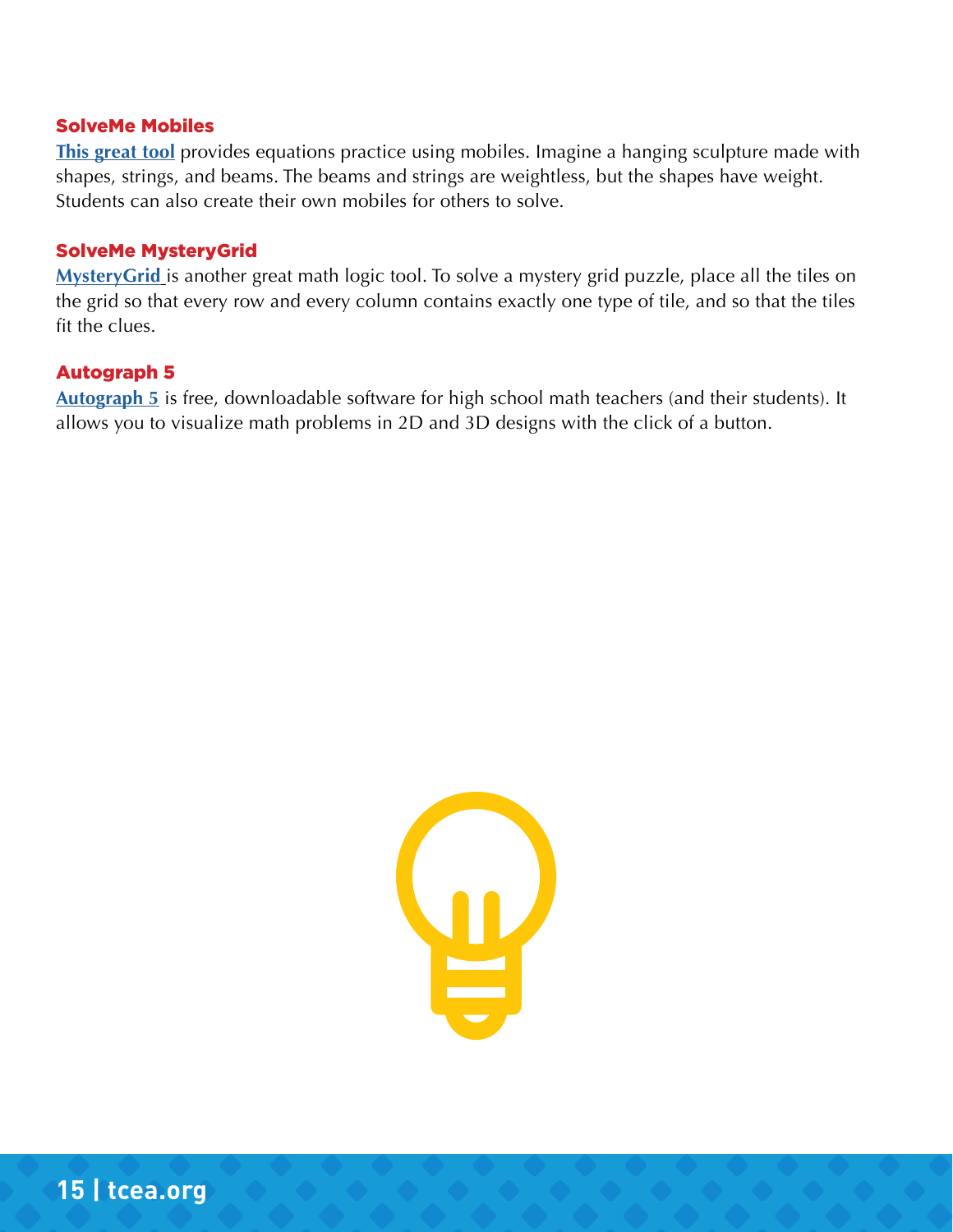#### SolveMe Mobiles

**[This great tool](https://solveme.edc.org/Mobiles.html)** provides equations practice using mobiles. Imagine a hanging sculpture made with shapes, strings, and beams. The beams and strings are weightless, but the shapes have weight. Students can also create their own mobiles for others to solve.

#### SolveMe MysteryGrid

**[MysteryGrid](https://solveme.edc.org/mysterygrid/)** is another great math logic tool. To solve a mystery grid puzzle, place all the tiles on the grid so that every row and every column contains exactly one type of tile, and so that the tiles fit the clues.

#### Autograph 5

**[Autograph 5](https://completemaths.com/autograph)** is free, downloadable software for high school math teachers (and their students). It allows you to visualize math problems in 2D and 3D designs with the click of a button.

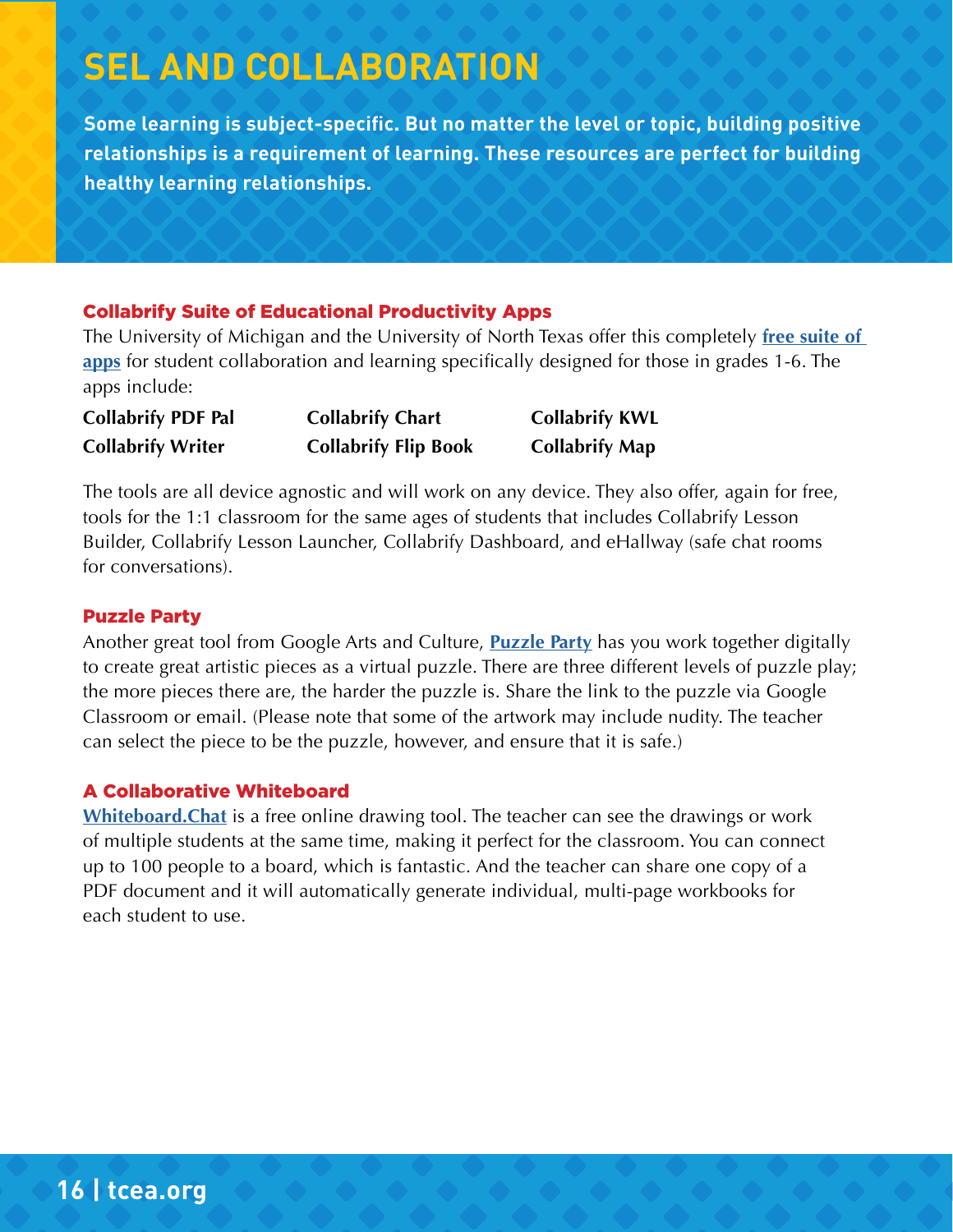## **SEL AND COLLABORATION**

**Some learning is subject-specific. But no matter the level or topic, building positive relationships is a requirement of learning. These resources are perfect for building healthy learning relationships.**

#### Collabrify Suite of Educational Productivity Apps

The University of Michigan and the University of North Texas offer this completely **[free suite of](https://www.imlc.io/)  [apps](https://www.imlc.io/)** for student collaboration and learning specifically designed for those in grades 1-6. The apps include:

**Collabrify PDF Pal Collabrify Chart Collabrify KWL Collabrify Writer Collabrify Flip Book Collabrify Map**

The tools are all device agnostic and will work on any device. They also offer, again for free, tools for the 1:1 classroom for the same ages of students that includes Collabrify Lesson Builder, Collabrify Lesson Launcher, Collabrify Dashboard, and eHallway (safe chat rooms for conversations).

#### Puzzle Party

Another great tool from Google Arts and Culture, **[Puzzle Party](https://artsandculture.google.com/experiment/puzzle-party/EwGBPZlIzv0KRw)** has you work together digitally to create great artistic pieces as a virtual puzzle. There are three different levels of puzzle play; the more pieces there are, the harder the puzzle is. Share the link to the puzzle via Google Classroom or email. (Please note that some of the artwork may include nudity. The teacher can select the piece to be the puzzle, however, and ensure that it is safe.)

#### A Collaborative Whiteboard

**[Whiteboard.Chat](https://www.whiteboard.chat/)** is a free online drawing tool. The teacher can see the drawings or work of multiple students at the same time, making it perfect for the classroom. You can connect up to 100 people to a board, which is fantastic. And the teacher can share one copy of a PDF document and it will automatically generate individual, multi-page workbooks for each student to use.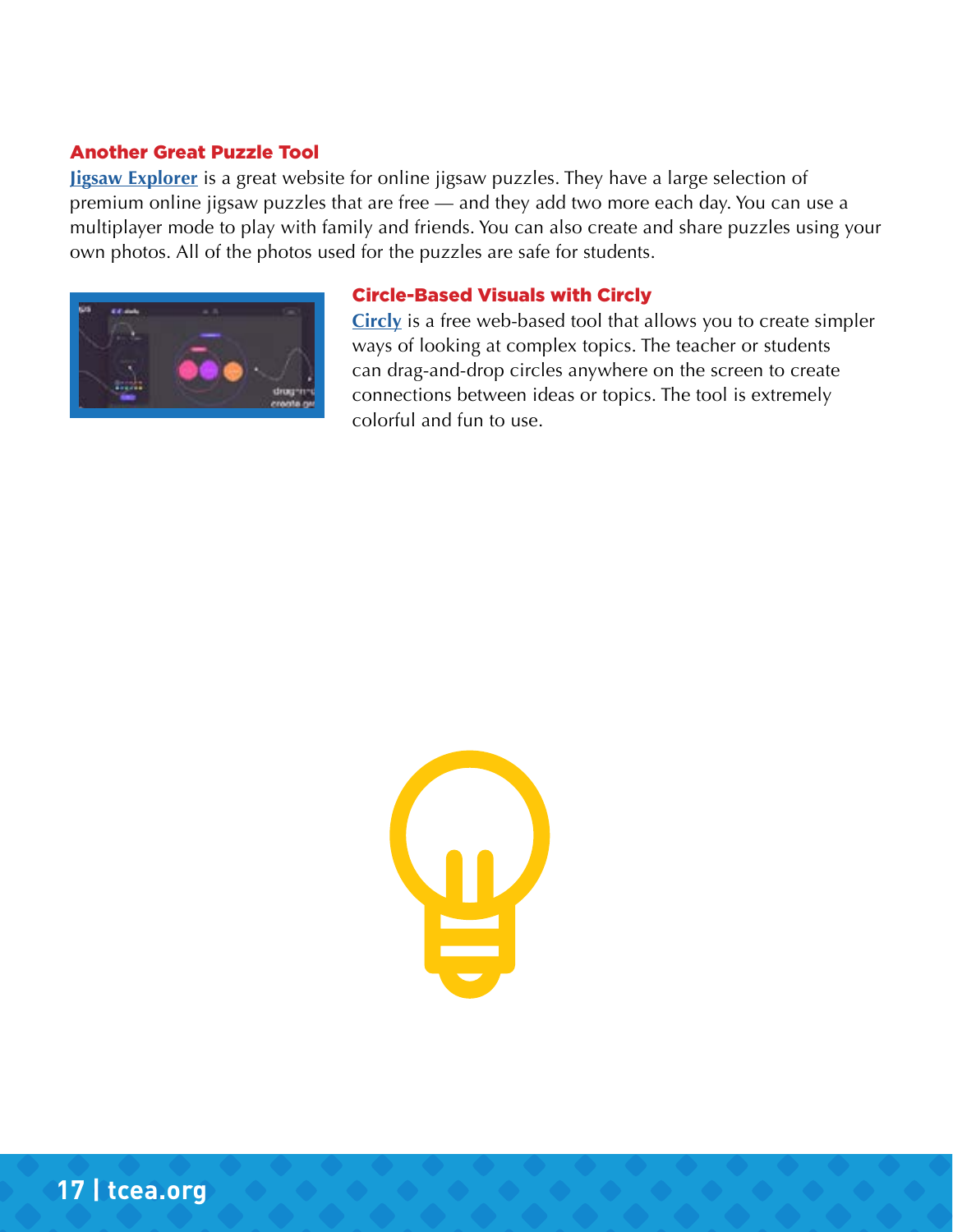#### Another Great Puzzle Tool

**[Jigsaw Explorer](https://www.jigsawexplorer.com/)** is a great website for online jigsaw puzzles. They have a large selection of premium online jigsaw puzzles that are free — and they add two more each day. You can use a multiplayer mode to play with family and friends. You can also create and share puzzles using your own photos. All of the photos used for the puzzles are safe for students.



#### Circle-Based Visuals with Circly

**[Circly](https://circlyapp.com/remote-learning-remote-teaching-tool.html)** is a free web-based tool that allows you to create simpler ways of looking at complex topics. The teacher or students can drag-and-drop circles anywhere on the screen to create connections between ideas or topics. The tool is extremely colorful and fun to use.